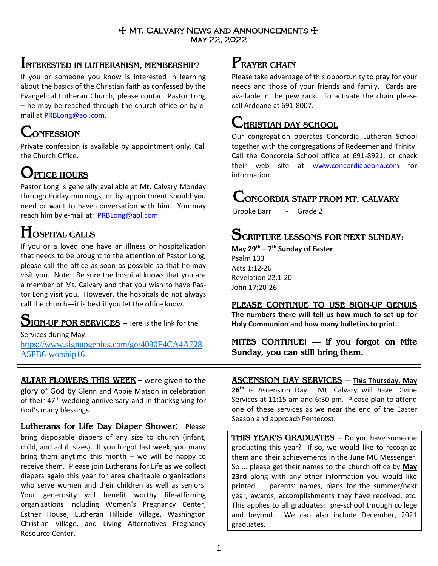### $+$  Mt. Calvary News and Announcements  $+$ May 22, 2022

# **INTERESTED IN LUTHERANISM, MEMBERSHIP?**

If you or someone you know is interested in learning about the basics of the Christian faith as confessed by the Evangelical Lutheran Church, please contact Pastor Long – he may be reached through the church office or by email at [PRBLong@aol.com.](mailto:PRBLong@aol.com)

# **CONFESSION**

Private confession is available by appointment only. Call the Church Office.

# **OFFICE HOURS**

Pastor Long is generally available at Mt. Calvary Monday through Friday mornings, or by appointment should you need or want to have conversation with him. You may reach him by e-mail at: [PRBLong@aol.com.](mailto:PRBLong@aol.com)

# **HOSPITAL CALLS**

If you or a loved one have an illness or hospitalization that needs to be brought to the attention of Pastor Long, please call the office as soon as possible so that he may visit you. Note: Be sure the hospital knows that you are a member of Mt. Calvary and that you wish to have Pastor Long visit you. However, the hospitals do not always call the church—it is best if you let the office know.

# **SIGN-UP FOR SERVICES** –Here is the link for the

Services during May: https://www.signupgenius.com/go/4090F4CA4A728 A5FB6-worship16

**ALTAR FLOWERS THIS WEEK** – were given to the glory of God by Glenn and Abbie Matson in celebration of their  $47<sup>th</sup>$  wedding anniversary and in thanksgiving for God's many blessings.

**Lutherans for Life Day Diaper Shower**: Please bring disposable diapers of any size to church (infant, child, and adult sizes). If you forgot last week, you many bring them anytime this month  $-$  we will be happy to receive them. Please join Lutherans for Life as we collect diapers again this year for area charitable organizations who serve women and their children as well as seniors. Your generosity will benefit worthy life-affirming organizations including Women's Pregnancy Center, Esther House, Lutheran Hillside Village, Washington Christian Village, and Living Alternatives Pregnancy Resource Center.

# **PRAYER CHAIN**

Please take advantage of this opportunity to pray for your needs and those of your friends and family. Cards are available in the pew rack. To activate the chain please call Ardeane at 691-8007.

# **CHRISTIAN DAY SCHOOL**

Our congregation operates Concordia Lutheran School together with the congregations of Redeemer and Trinity. Call the Concordia School office at 691-8921, or check their web site at [www.concordiapeoria.com](http://www.concordiapeoria.com/) for information.

# **CONCORDIA STAFF FROM MT. CALVARY**

Brooke Barr - Grade 2

# **SCRIPTURE LESSONS FOR NEXT SUNDAY:**

**May 29 th – 7 th Sunday of Easter** Psalm 133 Acts 1:12-26 Revelation 22:1-20 John 17:20-26

Season and approach Pentecost.

## **PLEASE CONTINUE TO USE SIGN-UP GENUIS**

**The numbers there will tell us how much to set up for Holy Communion and how many bulletins to print.**

## **MITES CONTINUE! –– if you forgot on Mite Sunday, you can still bring them.**

#### **ASCENSION DAY SERVICES** – **This Thursday, May 26th** is Ascension Day. Mt. Calvary will have Divine Services at 11:15 am and 6:30 pm. Please plan to attend one of these services as we near the end of the Easter

**THIS YEAR'S GRADUATES** -- Do you have someone graduating this year? If so, we would like to recognize them and their achievements in the June MC Messenger. So … please get their names to the church office by **May 23rd** along with any other information you would like printed — parents' names, plans for the summer/next year, awards, accomplishments they have received, etc. This applies to all graduates: pre-school through college and beyond. We can also include December, 2021 graduates.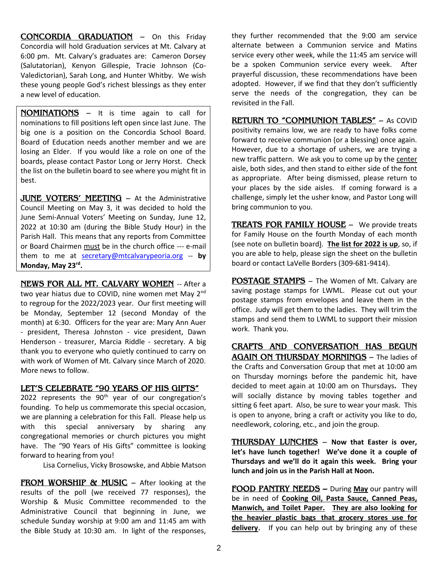**CONCORDIA GRADUATION** – On this Friday Concordia will hold Graduation services at Mt. Calvary at 6:00 pm. Mt. Calvary's graduates are: Cameron Dorsey (Salutatorian), Kenyon Gillespie, Tracie Johnson (Co-Valedictorian), Sarah Long, and Hunter Whitby. We wish these young people God's richest blessings as they enter a new level of education.

**NOMINATIONS** – It is time again to call for nominations to fill positions left open since last June. The big one is a position on the Concordia School Board. Board of Education needs another member and we are losing an Elder. If you would like a role on one of the boards, please contact Pastor Long or Jerry Horst. Check the list on the bulletin board to see where you might fit in best.

**JUNE VOTERS' MEETING** – At the Administrative Council Meeting on May 3, it was decided to hold the June Semi-Annual Voters' Meeting on Sunday, June 12, 2022 at 10:30 am (during the Bible Study Hour) in the Parish Hall. This means that any reports from Committee or Board Chairmen must be in the church office --- e-mail them to me at [secretary@mtcalvarypeoria.org](mailto:secretary@mtcalvarypeoria.org) -- **by Monday, May 23rd .**

**NEWS FOR ALL MT. CALVARY WOMEN** -- After a two year hiatus due to COVID, nine women met May 2<sup>nd</sup> to regroup for the 2022/2023 year. Our first meeting will be Monday, September 12 (second Monday of the month) at 6:30. Officers for the year are: Mary Ann Auer - president, Theresa Johnston - vice president, Dawn Henderson - treasurer, Marcia Riddle - secretary. A big thank you to everyone who quietly continued to carry on with work of Women of Mt. Calvary since March of 2020. More news to follow.

#### **LET'S CELEBRATE "90 YEARS OF HIS GIFTS"**

2022 represents the  $90<sup>th</sup>$  year of our congregation's founding. To help us commemorate this special occasion, we are planning a celebration for this Fall. Please help us with this special anniversary by sharing any congregational memories or church pictures you might have. The "90 Years of His Gifts" committee is looking forward to hearing from you!

Lisa Cornelius, Vicky Brosowske, and Abbie Matson

**FROM WORSHIP & MUSIC** – After looking at the results of the poll (we received 77 responses), the Worship & Music Committee recommended to the Administrative Council that beginning in June, we schedule Sunday worship at 9:00 am and 11:45 am with the Bible Study at 10:30 am. In light of the responses,

they further recommended that the 9:00 am service alternate between a Communion service and Matins service every other week, while the 11:45 am service will be a spoken Communion service every week. After prayerful discussion, these recommendations have been adopted. However, if we find that they don't sufficiently serve the needs of the congregation, they can be revisited in the Fall.

**RETURN TO "COMMUNION TABLES"** – As COVID positivity remains low, we are ready to have folks come forward to receive communion (or a blessing) once again. However, due to a shortage of ushers, we are trying a new traffic pattern. We ask you to come up by the center aisle, both sides, and then stand to either side of the font as appropriate. After being dismissed, please return to your places by the side aisles. If coming forward is a challenge, simply let the usher know, and Pastor Long will bring communion to you.

**TREATS FOR FAMILY HOUSE** – We provide treats for Family House on the fourth Monday of each month (see note on bulletin board). **The list for 2022 is up**, so, if you are able to help, please sign the sheet on the bulletin board or contact LaVelle Borders (309-681-9414).

**POSTAGE STAMPS** – The Women of Mt. Calvary are saving postage stamps for LWML. Please cut out your postage stamps from envelopes and leave them in the office. Judy will get them to the ladies. They will trim the stamps and send them to LWML to support their mission work. Thank you.

**CRAFTS AND CONVERSATION HAS BEGUN AGAIN ON THURSDAY MORNINGS** – The ladies of the Crafts and Conversation Group that met at 10:00 am on Thursday mornings before the pandemic hit, have decided to meet again at 10:00 am on Thursdays**.** They will socially distance by moving tables together and sitting 6 feet apart. Also, be sure to wear your mask. This is open to anyone, bring a craft or activity you like to do, needlework, coloring, etc., and join the group.

**THURSDAY LUNCHES** – **Now that Easter is over, let's have lunch together! We've done it a couple of Thursdays and we'll do it again this week. Bring your lunch and join us in the Parish Hall at Noon.** 

**FOOD PANTRY NEEDS –** During **May** our pantry will be in need of **Cooking Oil, Pasta Sauce, Canned Peas, Manwich, and Toilet Paper. They are also looking for the heavier plastic bags that grocery stores use for delivery**. If you can help out by bringing any of these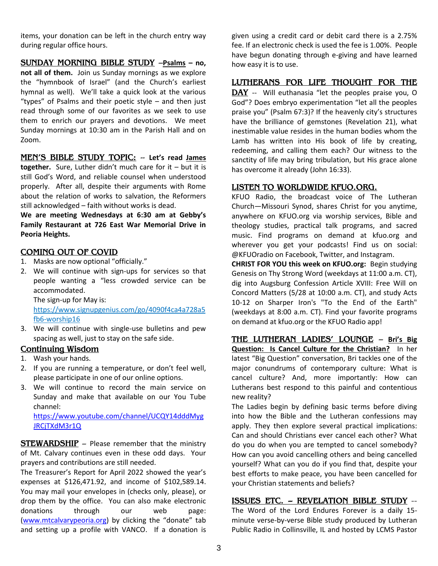items, your donation can be left in the church entry way during regular office hours.

**SUNDAY MORNING BIBLE STUDY** –**Psalms – no, not all of them.** Join us Sunday mornings as we explore the "hymnbook of Israel" (and the Church's earliest hymnal as well). We'll take a quick look at the various "types" of Psalms and their poetic style – and then just read through some of our favorites as we seek to use them to enrich our prayers and devotions. We meet Sunday mornings at 10:30 am in the Parish Hall and on Zoom.

**MEN'S BIBLE STUDY TOPIC:** -- **Let's read James together.** Sure, Luther didn't much care for it – but it is still God's Word, and reliable counsel when understood properly. After all, despite their arguments with Rome about the relation of works to salvation, the Reformers still acknowledged – faith without works is dead.

**We are meeting Wednesdays at 6:30 am at Gebby's Family Restaurant at 726 East War Memorial Drive in Peoria Heights.** 

### **COMING OUT OF COVID**

- 1. Masks are now optional "officially."
- 2. We will continue with sign-ups for services so that people wanting a "less crowded service can be accommodated.

The sign-up for May is:

https://www.signupgenius.com/go/4090f4ca4a728a5 fb6-worship16

3. We will continue with single-use bulletins and pew spacing as well, just to stay on the safe side.

#### **Continuing Wisdom**

- 1. Wash your hands.
- 2. If you are running a temperature, or don't feel well, please participate in one of our online options.
- 3. We will continue to record the main service on Sunday and make that available on our You Tube channel:

[https://www.youtube.com/channel/UCQY14dddMyg](https://www.youtube.com/channel/UCQY14dddMygJRCjTXdM3r1Q) [JRCjTXdM3r1Q](https://www.youtube.com/channel/UCQY14dddMygJRCjTXdM3r1Q)

**STEWARDSHIP** – Please remember that the ministry of Mt. Calvary continues even in these odd days. Your prayers and contributions are still needed.

The Treasurer's Report for April 2022 showed the year's expenses at \$126,471.92, and income of \$102,589.14. You may mail your envelopes in (checks only, please), or drop them by the office. You can also make electronic donations through our web page: [\(www.mtcalvarypeoria.org\)](http://www.mtcalvarypeoria.org/) by clicking the "donate" tab and setting up a profile with VANCO. If a donation is

given using a credit card or debit card there is a 2.75% fee. If an electronic check is used the fee is 1.00%. People have begun donating through e-giving and have learned how easy it is to use.

### **LUTHERANS FOR LIFE THOUGHT FOR THE**

**DAY** -- Will euthanasia "let the peoples praise you, O God"? Does embryo experimentation "let all the peoples praise you" (Psalm 67:3)? If the heavenly city's structures have the brilliance of gemstones (Revelation 21), what inestimable value resides in the human bodies whom the Lamb has written into His book of life by creating, redeeming, and calling them each? Our witness to the sanctity of life may bring tribulation, but His grace alone has overcome it already (John 16:33).

#### **LISTEN TO WORLDWIDE KFUO.ORG.**

KFUO Radio, the broadcast voice of The Lutheran Church—Missouri Synod, shares Christ for you anytime, anywhere on KFUO.org via worship services, Bible and theology studies, practical talk programs, and sacred music. Find programs on demand at [kfuo.org](https://kfuo.us19.list-manage.com/track/click?u=54af661ed49340a315983cb13&id=23f436d69c&e=9f5cc2cb8c) and wherever you get your podcasts! Find us **on** social: @KFUOradio on [Facebook,](https://kfuo.us19.list-manage.com/track/click?u=54af661ed49340a315983cb13&id=a1af9c142f&e=9f5cc2cb8c) [Twitter,](https://kfuo.us19.list-manage.com/track/click?u=54af661ed49340a315983cb13&id=da6b9900e0&e=9f5cc2cb8c) and [Instagram.](https://kfuo.us19.list-manage.com/track/click?u=54af661ed49340a315983cb13&id=baa10b7b13&e=9f5cc2cb8c)

**CHRIST FOR YOU this week on KFUO.org:** Begin studying Genesis on Thy Strong Word (weekdays at 11:00 a.m. CT), dig into Augsburg Confession Article XVIII: Free Will on Concord Matters (5/28 at 10:00 a.m. CT), and study Acts 10-12 on Sharper Iron's "To the End of the Earth" (weekdays at 8:00 a.m. CT). Find your favorite programs on demand at kfuo.org or the KFUO Radio app!

**[THE LUTHERAN LADIES' LOUNGE](https://www.kfuo.org/2022/04/08/lutheran-ladies-lounge-episode-132-wild-card-easter-egg-traditions-around-the-globe/)** – **Bri's Big Question: Is Cancel Culture for the Christian?** In her latest "Big Question" conversation, Bri tackles one of the major conundrums of contemporary culture: What is cancel culture? And, more importantly: How can Lutherans best respond to this painful and contentious new reality?

The Ladies begin by defining basic terms before diving into how the Bible and the Lutheran confessions may apply. They then explore several practical implications: Can and should Christians ever cancel each other? What do you do when you are tempted to cancel somebody? How can you avoid cancelling others and being cancelled yourself? What can you do if you find that, despite your best efforts to make peace, you have been cancelled for your Christian statements and beliefs?

### **ISSUES ETC. -- REVELATION BIBLE STUDY** --

The Word of the Lord Endures Forever is a daily 15 minute verse-by-verse Bible study produced by Lutheran Public Radio in Collinsville, IL and hosted by LCMS Pastor